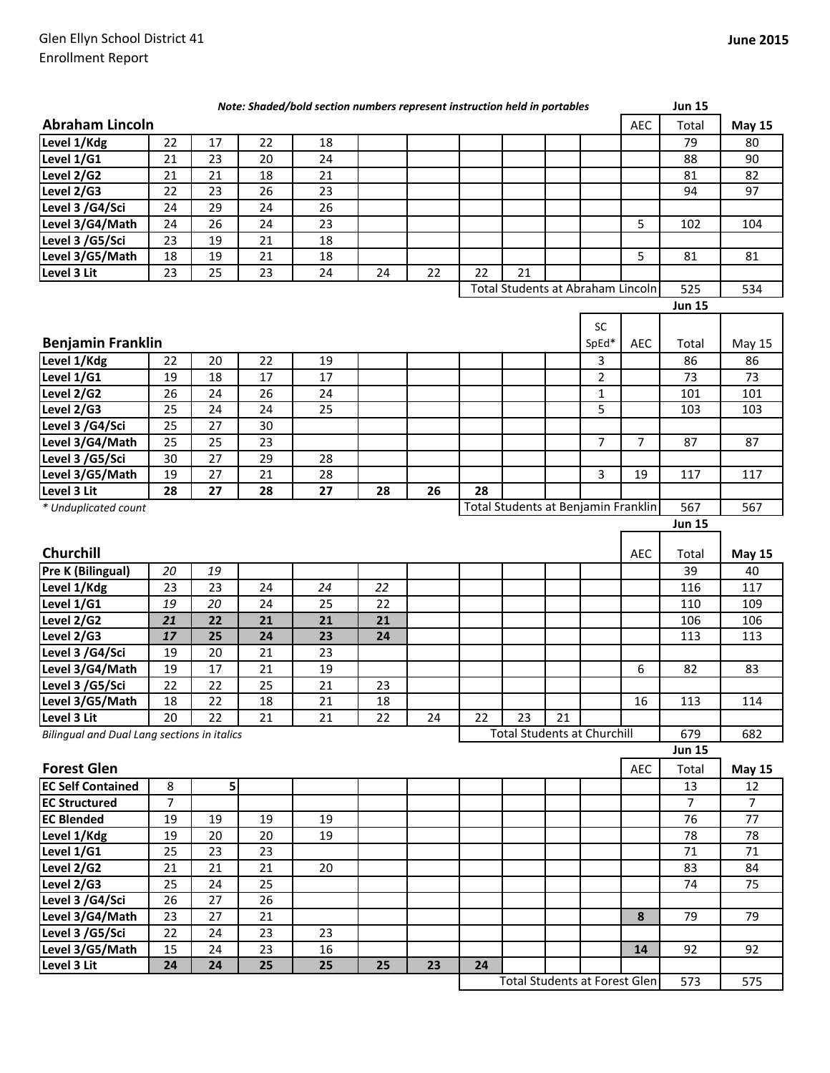|                                                    |                |                 |    | Note: Shaded/bold section numbers represent instruction held in portables |    |    |    |                                     |    |                |                  | <b>Jun 15</b>  |                |
|----------------------------------------------------|----------------|-----------------|----|---------------------------------------------------------------------------|----|----|----|-------------------------------------|----|----------------|------------------|----------------|----------------|
| <b>Abraham Lincoln</b>                             |                |                 |    |                                                                           |    |    |    |                                     |    |                | <b>AEC</b>       | Total          | <b>May 15</b>  |
| Level 1/Kdg                                        | 22             | 17              | 22 | 18                                                                        |    |    |    |                                     |    |                |                  | 79             | 80             |
| Level 1/G1                                         | 21             | 23              | 20 | 24                                                                        |    |    |    |                                     |    |                |                  | 88             | 90             |
| Level 2/G2                                         | 21             | 21              | 18 | 21                                                                        |    |    |    |                                     |    |                |                  | 81             | 82             |
| Level 2/G3                                         | 22             | 23              | 26 | 23                                                                        |    |    |    |                                     |    |                |                  | 94             | 97             |
| Level 3 /G4/Sci                                    | 24             | 29              | 24 | 26                                                                        |    |    |    |                                     |    |                |                  |                |                |
| Level 3/G4/Math                                    | 24             | 26              | 24 | 23                                                                        |    |    |    |                                     |    |                | 5                | 102            | 104            |
| Level 3 /G5/Sci                                    | 23             | 19              | 21 | 18                                                                        |    |    |    |                                     |    |                |                  |                |                |
| Level 3/G5/Math                                    | 18             | 19              | 21 | 18                                                                        |    |    |    |                                     |    |                | 5                | 81             | 81             |
| Level 3 Lit                                        | 23             | 25              | 23 | 24                                                                        | 24 | 22 | 22 | 21                                  |    |                |                  |                |                |
|                                                    |                |                 |    |                                                                           |    |    |    | Total Students at Abraham Lincoln   |    |                |                  | 525            | 534            |
|                                                    |                |                 |    |                                                                           |    |    |    |                                     |    |                |                  | <b>Jun 15</b>  |                |
|                                                    |                |                 |    |                                                                           |    |    |    |                                     |    | SC             |                  |                |                |
| <b>Benjamin Franklin</b>                           |                |                 |    |                                                                           |    |    |    |                                     |    | SpEd*          | <b>AEC</b>       | Total          | May 15         |
| Level 1/Kdg                                        | 22             | 20              | 22 | 19                                                                        |    |    |    |                                     |    | 3              |                  | 86             | 86             |
| Level 1/G1                                         | 19             | 18              | 17 | 17                                                                        |    |    |    |                                     |    | $\overline{2}$ |                  | 73             | 73             |
| Level 2/G2                                         | 26             | 24              | 26 | 24                                                                        |    |    |    |                                     |    | $\mathbf{1}$   |                  | 101            | 101            |
| Level 2/G3                                         | 25             | 24              | 24 | 25                                                                        |    |    |    |                                     |    | 5              |                  | 103            | 103            |
| Level 3 /G4/Sci                                    | 25             | 27              | 30 |                                                                           |    |    |    |                                     |    |                |                  |                |                |
| Level 3/G4/Math                                    | 25             | $\overline{25}$ | 23 |                                                                           |    |    |    |                                     |    | 7              | $\overline{7}$   | 87             | 87             |
| Level 3 /G5/Sci                                    | 30             | 27              | 29 | 28                                                                        |    |    |    |                                     |    |                |                  |                |                |
| Level 3/G5/Math                                    | 19             | 27              | 21 | 28                                                                        |    |    |    |                                     |    | 3              | 19               | 117            | 117            |
| Level 3 Lit                                        | 28             | 27              | 28 | 27                                                                        | 28 | 26 | 28 |                                     |    |                |                  |                |                |
| * Unduplicated count                               |                |                 |    |                                                                           |    |    |    | Total Students at Benjamin Franklin |    |                |                  | 567            | 567            |
|                                                    |                |                 |    |                                                                           |    |    |    |                                     |    |                |                  | <b>Jun 15</b>  |                |
|                                                    |                |                 |    |                                                                           |    |    |    |                                     |    |                |                  |                |                |
| Churchill                                          |                |                 |    |                                                                           |    |    |    |                                     |    |                | AEC              | Total          | <b>May 15</b>  |
| Pre K (Bilingual)                                  | 20             | 19              |    |                                                                           |    |    |    |                                     |    |                |                  | 39             | 40             |
| Level 1/Kdg                                        | 23             | 23              | 24 | 24                                                                        | 22 |    |    |                                     |    |                |                  | 116            | 117            |
| Level 1/G1                                         | 19             | 20              | 24 | 25                                                                        | 22 |    |    |                                     |    |                |                  | 110            | 109            |
| Level 2/G2                                         | 21             | 22              | 21 | 21                                                                        | 21 |    |    |                                     |    |                |                  | 106            | 106            |
| Level 2/G3                                         | 17             | 25              | 24 | 23                                                                        | 24 |    |    |                                     |    |                |                  | 113            | 113            |
| Level 3 /G4/Sci                                    | 19             | 20              | 21 | 23                                                                        |    |    |    |                                     |    |                |                  |                |                |
| Level 3/G4/Math                                    | 19             | 17              | 21 | 19                                                                        |    |    |    |                                     |    |                | 6                | 82             | 83             |
| Level 3 /G5/Sci                                    | 22             | 22              | 25 | 21                                                                        | 23 |    |    |                                     |    |                |                  |                |                |
| Level 3/G5/Math                                    | 18             | 22              | 18 | 21                                                                        | 18 |    |    |                                     |    |                | 16               | 113            | 114            |
| Level 3 Lit                                        | 20             | 22              | 21 | 21                                                                        | 22 | 24 | 22 | 23                                  | 21 |                |                  |                |                |
| <b>Bilingual and Dual Lang sections in italics</b> |                |                 |    |                                                                           |    |    |    | <b>Total Students at Churchill</b>  |    |                |                  | 679            | 682            |
|                                                    |                |                 |    |                                                                           |    |    |    |                                     |    |                |                  | <b>Jun 15</b>  |                |
| <b>Forest Glen</b>                                 |                |                 |    |                                                                           |    |    |    |                                     |    |                | AEC              | Total          | <b>May 15</b>  |
| <b>EC Self Contained</b>                           | 8              | $\mathsf{S}$    |    |                                                                           |    |    |    |                                     |    |                |                  | 13             | 12             |
| <b>EC Structured</b>                               | $\overline{7}$ |                 |    |                                                                           |    |    |    |                                     |    |                |                  | $\overline{7}$ | $\overline{7}$ |
| <b>EC Blended</b>                                  | 19             | 19              | 19 | 19                                                                        |    |    |    |                                     |    |                |                  | 76             | 77             |
| Level 1/Kdg                                        | 19             | 20              | 20 | 19                                                                        |    |    |    |                                     |    |                |                  | 78             | 78             |
| Level 1/G1                                         | 25             | 23              | 23 |                                                                           |    |    |    |                                     |    |                |                  | 71             | 71             |
| Level 2/G2                                         | 21             | 21              | 21 | 20                                                                        |    |    |    |                                     |    |                |                  | 83             | 84             |
| Level 2/G3                                         | 25             | 24              | 25 |                                                                           |    |    |    |                                     |    |                |                  | 74             | 75             |
| Level 3 /G4/Sci                                    | 26             | 27              | 26 |                                                                           |    |    |    |                                     |    |                |                  |                |                |
| Level 3/G4/Math                                    | 23             | 27              | 21 |                                                                           |    |    |    |                                     |    |                | $\boldsymbol{8}$ | 79             | 79             |
| Level 3 /G5/Sci                                    | 22             | 24              | 23 | 23                                                                        |    |    |    |                                     |    |                |                  |                |                |
| Level 3/G5/Math                                    | 15             | 24              | 23 | 16                                                                        |    |    |    |                                     |    |                | 14               | 92             | 92             |
| Level 3 Lit                                        | 24             | 24              | 25 | 25                                                                        | 25 | 23 | 24 |                                     |    |                |                  |                |                |
|                                                    |                |                 |    |                                                                           |    |    |    | Total Students at Forest Glen       |    |                |                  | 573            | 575            |